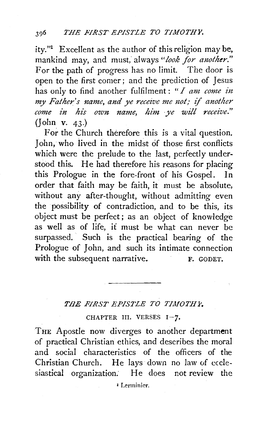ity." $\Gamma$  Excellent as the author of this religion may be, mankind may, and must, always "look for another." For the path of progress has no limit. The door is open to the first comer; and the prediction of Jesus has only to find another fulfilment: "*I am come in my Father's name, and ye receive me not; if another come £n his own name, him ye will receive."*  (John v. 43.)

For the Church therefore this is a vital question. John, who lived in the midst of those first conflicts which were the prelude to the last, perfectly understood this. He had therefore his reasons for placing this Prologue in the fore-front of his Gospel. In order that faith may be faith, it must be absolute, without any after-thought, without admitting even the possibility of contradiction, and to be this, its object must be perfect; as an object of knowledge as well as of life, it must be what can never be surpassed. Such is the practical bearing of the Prologue of John, and such its intimate connection with the subsequent narrative. F. GODET.

## THE FIRST EPISTLE TO TIMOTHY.

CHAPTER III. VERSES  $I-7$ .

THE Apostle now diverges to another department of practical Christian ethics, and describes the moral and social characteristics of the officers of the Christian Church. He lays down no law of ecclesiastical organization: He does not review the

• Lerminicr.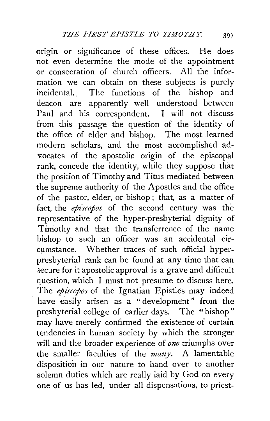origin or significance of these offices. He does not even determine the mode of the appointment or consecration of church officers. All the information we can obtain on these subjects is purely incidental.. The functions of the bishop and deacon are apparently well understood between Paul and his correspondent. I will not discuss from this passage the question of the identity of the office of elder and bishop. The most learned modern scholars, and the most accomplished advocates of the apostolic origin of the episcopal rank, concede the identity, while they suppose that the position of Timothy and Titus mediated between the supreme authority of the Apostles and the office of the pastor, elder, or bishop ; that, as a matter of fact, the *episcopos* of the second century was the representative of the hyper-presbyterial dignity of Timothy and that the transferrence of the name bishop to such an officer was an accidental circumstance. Whether traces of such official hyperpresbyterial rank can be found at any time that can secure for it apostolic approval is a grave and difficult question, which I must not presume to discuss here. The *episcopos* of the Ignatian Epistles may indeed have easily arisen as a "development" from the presbyterial college of earlier days. The "bishop" may have merely confirmed the existence of certain tendencies in human society by which the stronger will and the broader experience of *one* triumphs over the smaller faculties of the *many.* A lamentable disposition in our nature to hand over to another solemn duties which are really laid by God on every one of us has led, under all dispensations, to priest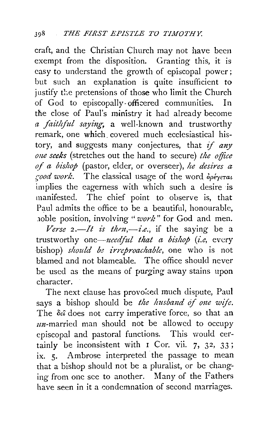craft, and the Christian Church may not have been exempt from the disposition. Granting this, it is easy to understand the growth of episcopal power ; but such an explanation is quite insufficient to justify the pretensions of those who limit the Church of God to episcopally-officered communities. In the close of Paul's ministry it had already become *a faithful sayi1zg,* a well-known and trustworthy remark, one which. covered much ecclesiastical history, and suggests many conjectures, that if *any one seeks* (stretches out the hand to secure) *the office of a bishop* (pastor, elder, or overseer), *he desires a rood work.* The classical usage of the word  $\delta \rho \epsilon \gamma \epsilon \tau a \epsilon$ implies the eagerness with which such a desire is manifested. The chief point to observe is, that Paul admits the office to be a beautiful, honourable, hoble position, involving "*work*" for God and men.

 $Verse$  2.—*It is then*,—*i.e.*, if the saying be a trustworthy *one-1zcedjul that a bishop (i.e,* every bishop) *should be irreproachable,* one who is not blamed and not blameable. The office should never be used as the means of purging away stains upon character.

The next clause has provoked much dispute, Paul says a bishop should be *the husband of one wife*. The  $\delta \epsilon \hat{i}$  does not carry imperative force, so that an  $un$ -married man should not be allowed to occupy episcopal and pastoral functions. This would certainly be inconsistent with  $\bar{1}$  Cor. vii. 7, 32, 33; ix. 5. Ambrose interpreted the passage to mean that a bishop should not be a pluralist, or be changing from one see to another. Many of the Fathers have seen in it a condemnation of second marriages.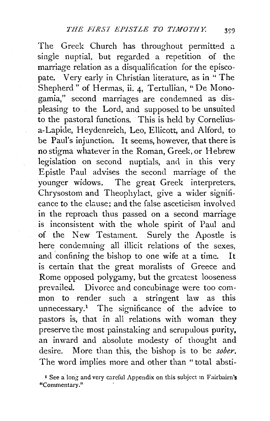The Greek Church has throughout permitted a single nuptial, but regarded a repetition of the marriage relation as a disqualification for the episcopate. Very early in Christian literature, as in " The Shepherd" of Hermas, ii. 4, Tertullian, "De Monogamia," second marriages are condemned as displeasing to the Lord, and supposed to be unsuited to the pastoral functions. This is held by Corneliusa-Lapide, Heydenreich, Leo, Ellicott, and Alford, to be Paul's injunction. It seems, however, that there is no stigma whatever in the Roman, Greek, or Hebrew legislation on second nuptials, and in this very Epistle Paul advises the second marriage of the younger widows. The great Greek interpreters, Chrysostom and Theophylact, give a wider significance to the clause: and the false asceticism involved in the reproach thus passed on a second marriage is inconsistent with the whole spirit of Paul and of the New Testament. Surely the Apostle is here condemning all illicit relations of the sexes, and 'confining the bishop to one wife at a time. It is certain that the great moralists of Greece and Rome opposed polygamy, but the greatest looseness prevailed. Divorce and concubinage were too common to render such a stringent law as this unnecessary.<sup>1</sup> The significance of the advice to pastors is, that in all relations with woman they preserve the most painstaking and scrupulous purity, an inward and absolute modesty of thought and desire. More than this, the bishop is to be *sober.*  The word implies more and other than " total absti-

<sup>&</sup>lt;sup>1</sup> See a long and very careful Appendix on this subject in Fairbairn's "Commentary."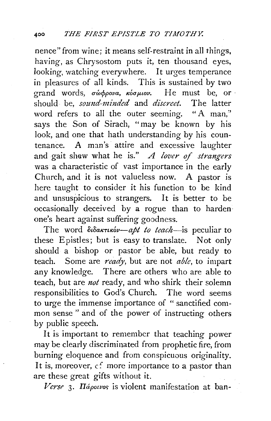nence" from wine; it means self-restraint in all things, having, as Chrysostom puts it, ten thousand eyes, looking, watching everywhere. It urges temperance in pleasures of all kinds. This is sustained by two grand words, σώφρονα, κόσμιον. He must be, or · should be, *sozmd-minded* and *discreet.* The latter word refers to all the outer seeming. "A man," says the Son of Sirach, "may be known by his look, and one that hath understanding by his countenance. A man's attire and excessive laughter and gait shew what he is." *A lover of strangers* was a characteristic of vast importance in the early Church, and it is not valueless now. A pastor is here taught to consider it his function to be kind and unsuspicious to strangers. It is better to be occasionally deceived by a rogue than to harden· one's heart against suffering goodness.

The word διδακτικόν-*apt to teach*-is peculiar to these Epistles; but is easy to translate. Not only should a bishop or pastor be able, but ready to teach. Some are *ready,* but are not *able,* to impart any knowledge. There are others who are able to teach, but are *not* ready, and who shirk their solemn responsibilities to God's Church. The word seems to urge the immense importance of " sanctified common sense " and of the power of instructing others by public speech.

It is important to remember that teaching power may be clearly discriminated from prophetic fire, from burning eloquence and from conspicuous originality. It is, moreover,  $c$ : more importance to a pastor than are these great gifts without it.

Verse 3. *IIápowos* is violent manifestation at ban-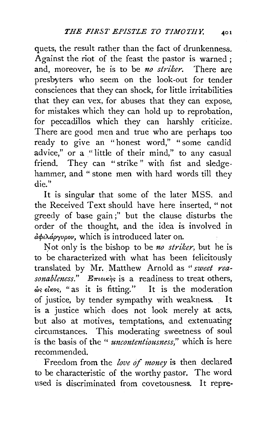quets, the result rather than the fact of drunkenness. Against the riot of the feast the pastor is warned : and, moreover, he is to be *no striker.* There are presbyters who seem on the look-out for tender consciences that they can shock, for little irritabilities that they can vex, for abuses that they can expose, for mistakes which they can hold up to reprobation, for peccadillos which they can harshly criticize. There are good men and true who are perhaps too ready to give an "honest word," "some candid advice," or a "little of their mind," to any casual friend. They can "strike " with fist and sledgehammer, and "stone men with hard words till they die."

It is singular that some of the later MSS. and the Received Text should have here inserted, "not greedy of base gain;" but the clause disturbs the order of the thought, and the idea is involved in *a1>tA.apryupov,* which is introduced later on.

Not only is the bishop to be *no striker*, but he is to be characterized with what has been felicitously translated by Mr. Matthew Arnold as "sweet rea- $\mathit{sonableness}$ ."  $E_{\pi\mathit{teuk}}$  is a readiness to treat others,  $\omega$ s  $\epsilon$ i $\kappa$ os, "as it is fitting." It is the moderation of justice, by tender sympathy with weakness. It is a justice which does not look merely at acts, but also at motives, temptations, and extenuating circumstances. This moderating sweetness of soul is the basis of the " *uncontentiousness,"* which is here recommended.

Freedom from the *love of money* is then declared to be characteristic of the worthy pastor. The word used is discriminated from covetousness. It repre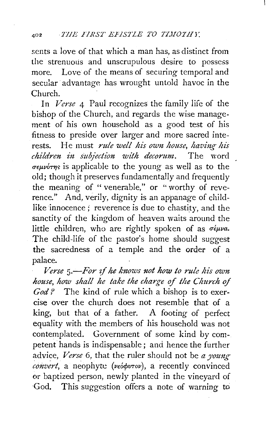scnts a love of that which a man has, as distinct from the strenuous and unscrupulous desire to possess more. Love of the means of securing temporal and secular advantage has wrought untold havoc in the Church.

In *Verse* 4 Paul recognizes the family life of the bishop of the Church, and regards the wise management of his own household as a good test of his fitness to preside over larger and more sacred interests. He must *rule well his own house*, having his *children in subjection with decorum*. The word *children* in subjection with decorum.  $\sigma \epsilon \mu \nu \acute{\sigma} \tau \eta s$  is applicable to the young as well as to the old; though it preserves fundamentally and frequently the meaning of " venerable," or "worthy of reverence." And, verily, dignity is an appanage of childlike innocence ; reverence is due to chastity, and the sanctity of the kingdom of heaven waits around the little children, who are rightly spoken of as  $\sigma \epsilon \mu \nu a$ . The child-life of the pastor's home should suggest the sacredness of a temple and the order of a palace.

*Verse* 5.- For if he knows not how to rule his own *house, how shall he take the charge of the Church of God?* The kind of rule which a bishop is to exercise over the church does not resemble that of a king, but that of a father. A footing of perfect equality with the members of his household was not contemplated. Government of some kind by competent hands is indispensable; and hence the further advice, *Verse* 6, that the ruler should not be *a young* ~onv;rt, a neophyte *(vearfwTov),* a recently convinced or baptized person, newly planted in the vineyard of God. This suggestion offers a note of warning to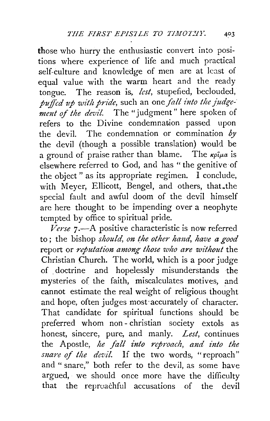those who hurry the enthusiastic convert into positions where experience of life and much practical self-culture and knowledge of men are at least of equal value with the warm heart and the ready tongue. The reason is, *lest*, stupefied, beclouded, puffed up with pride, such an one fall into the judge*ment of the devil.* The "judgment" here spoken of refers to the Divine condemnation passed upon the devil. The condemnation or commination *by*  the devil (though a possible translation) would be a ground of praise rather than blame. The  $\kappa \rho \hat{\iota} \mu a$  is elsewhere referred to God, and has "the genitive of the object " as its appropriate regimen. I conclude, with Meyer, Ellicott, Bengel, and others, that the special fault and awful doom of the devil himself are here thought to be impending over a neophyte tempted by office to spiritual pride.

 *7.—A positive characteristic is now referred* to; the bishop *should, on the other hand, have a good* report or *reputation among those who are without* the Christian Church. The world, which is a poor judge of . doctrine and hopelessly misunderstands the mysteries of the faith, miscalculates motives, and cannot estimate the real weight of religious thought and hope, often judges most·accurately of character. That candidate for spiritual functions should be preferred whom non- christian society extols as honest, sincere, pure, and manly. *Lest,* continues the Apostle, *he fall into reproach, and into the snare* of *the devil.* If the two words, "reproach" and " snare," both refer to the devil, as some have argued, we should once more have the difficulty that the reproachful accusations of the devil